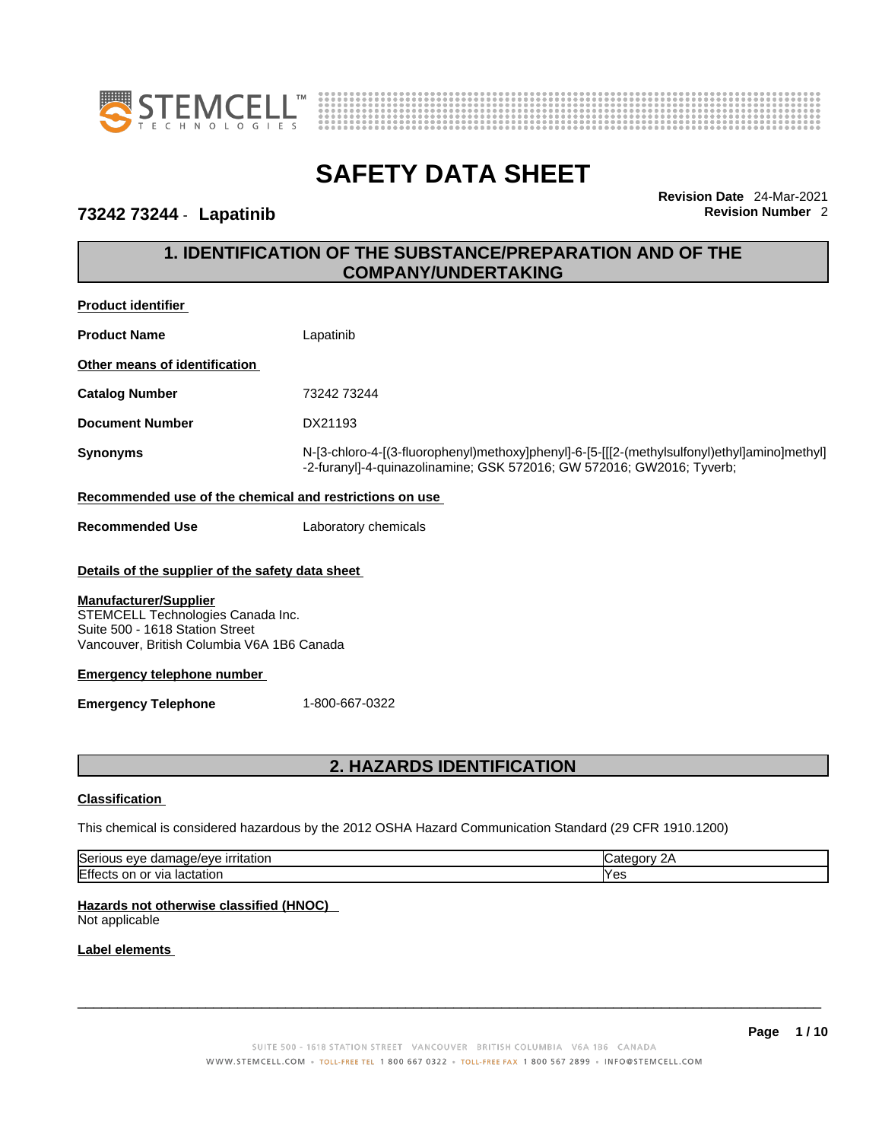



### **73242 73244** - **Lapatinib Revision Number** 2

**Revision Date** 24-Mar-2021

# **1. IDENTIFICATION OF THE SUBSTANCE/PREPARATION AND OF THE COMPANY/UNDERTAKING**

| <b>Product identifier</b>                                                                                                                                                                                                                                                 |                                                                                                         |                                                                                              |
|---------------------------------------------------------------------------------------------------------------------------------------------------------------------------------------------------------------------------------------------------------------------------|---------------------------------------------------------------------------------------------------------|----------------------------------------------------------------------------------------------|
| <b>Product Name</b>                                                                                                                                                                                                                                                       | Lapatinib                                                                                               |                                                                                              |
| Other means of identification                                                                                                                                                                                                                                             |                                                                                                         |                                                                                              |
| <b>Catalog Number</b>                                                                                                                                                                                                                                                     | 73242 73244                                                                                             |                                                                                              |
| <b>Document Number</b>                                                                                                                                                                                                                                                    | DX21193                                                                                                 |                                                                                              |
| <b>Synonyms</b>                                                                                                                                                                                                                                                           | -2-furanyl]-4-quinazolinamine; GSK 572016; GW 572016; GW2016; Tyverb;                                   | N-[3-chloro-4-[(3-fluorophenyl)methoxy]phenyl]-6-[5-[[[2-(methylsulfonyl)ethyl]amino]methyl] |
| Recommended use of the chemical and restrictions on use                                                                                                                                                                                                                   |                                                                                                         |                                                                                              |
| <b>Recommended Use</b>                                                                                                                                                                                                                                                    | Laboratory chemicals                                                                                    |                                                                                              |
| Details of the supplier of the safety data sheet<br><b>Manufacturer/Supplier</b><br>STEMCELL Technologies Canada Inc.<br>Suite 500 - 1618 Station Street<br>Vancouver, British Columbia V6A 1B6 Canada<br><b>Emergency telephone number</b><br><b>Emergency Telephone</b> | 1-800-667-0322                                                                                          |                                                                                              |
|                                                                                                                                                                                                                                                                           | <b>2. HAZARDS IDENTIFICATION</b>                                                                        |                                                                                              |
| <b>Classification</b>                                                                                                                                                                                                                                                     |                                                                                                         |                                                                                              |
|                                                                                                                                                                                                                                                                           | This chemical is considered hazardous by the 2012 OSHA Hazard Communication Standard (29 CFR 1910.1200) |                                                                                              |
| Serious eye damage/eye irritation                                                                                                                                                                                                                                         |                                                                                                         | Category 2A                                                                                  |
| Effects on or via lactation                                                                                                                                                                                                                                               |                                                                                                         | Yes                                                                                          |
| Hazards not otherwise classified (HNOC)<br>Not applicable                                                                                                                                                                                                                 |                                                                                                         |                                                                                              |
| Label elements                                                                                                                                                                                                                                                            |                                                                                                         |                                                                                              |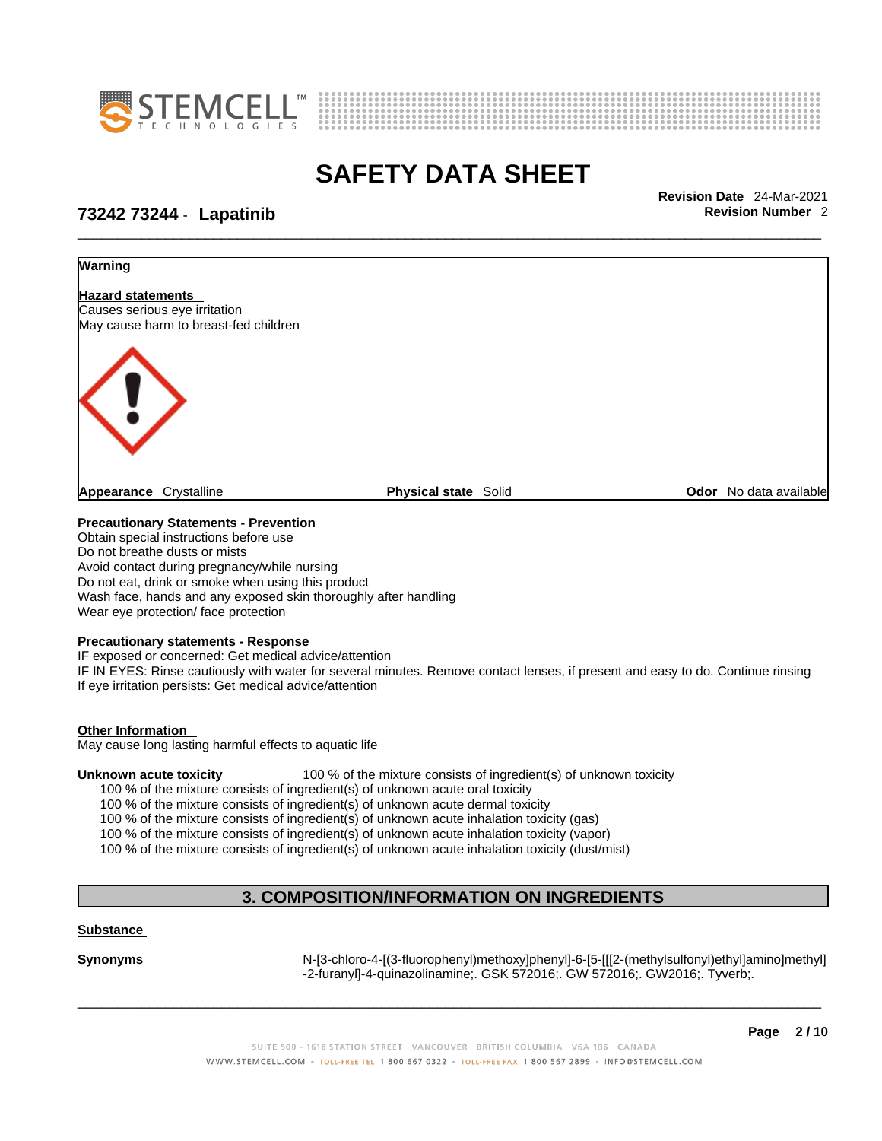



\_\_\_\_\_\_\_\_\_\_\_\_\_\_\_\_\_\_\_\_\_\_\_\_\_\_\_\_\_\_\_\_\_\_\_\_\_\_\_\_\_\_\_\_\_\_\_\_\_\_\_\_\_\_\_\_\_\_\_\_\_\_\_\_\_\_\_\_\_\_\_\_\_\_\_\_\_\_\_\_\_\_\_\_\_\_\_\_\_\_\_\_\_ **Revision Date** 24-Mar-2021

### **73242 73244** - **Lapatinib Revision Number** 2



Obtain special instructions before use Do not breathe dusts or mists Avoid contact during pregnancy/while nursing Do not eat, drink or smoke when using this product Wash face, hands and any exposed skin thoroughly after handling Wear eye protection/ face protection

#### **Precautionary statements - Response**

IF exposed or concerned: Get medical advice/attention IF IN EYES: Rinse cautiously with water for several minutes. Remove contact lenses, if present and easy to do. Continue rinsing If eye irritation persists: Get medical advice/attention

#### **Other Information**

May cause long lasting harmful effects to aquatic life

**Unknown acute toxicity** 100 % of the mixture consists of ingredient(s) of unknown toxicity

100 % of the mixture consists of ingredient(s) of unknown acute oral toxicity

100 % of the mixture consists of ingredient(s) of unknown acute dermal toxicity

100 % of the mixture consists of ingredient(s) of unknown acute inhalation toxicity (gas)

100 % of the mixture consists of ingredient(s) of unknown acute inhalation toxicity (vapor)

100 % of the mixture consists of ingredient(s) of unknown acute inhalation toxicity (dust/mist)

# **3. COMPOSITION/INFORMATION ON INGREDIENTS**

#### **Substance**

**Synonyms** N-[3-chloro-4-[(3-fluorophenyl)methoxy]phenyl]-6-[5-[[[2-(methylsulfonyl)ethyl]amino]methyl] -2-furanyl]-4-quinazolinamine;. GSK 572016;. GW 572016;. GW2016;. Tyverb;.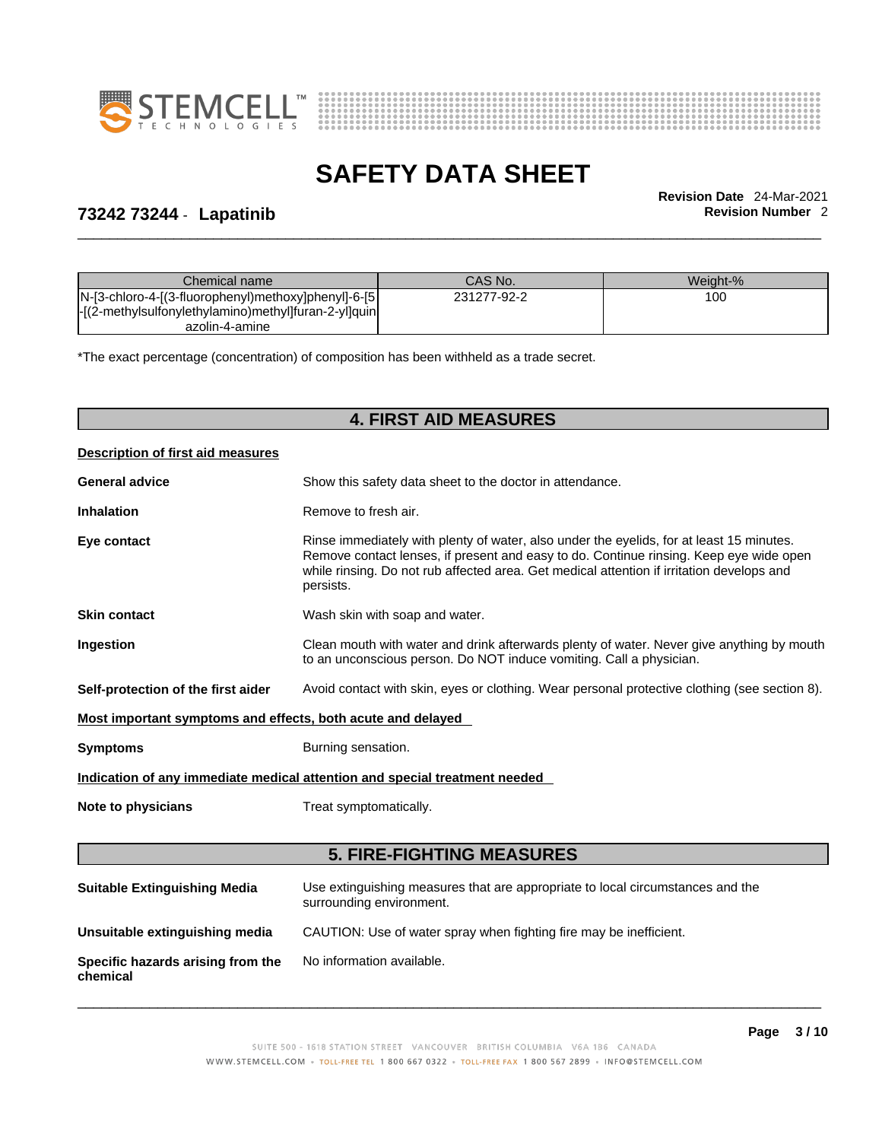



\_\_\_\_\_\_\_\_\_\_\_\_\_\_\_\_\_\_\_\_\_\_\_\_\_\_\_\_\_\_\_\_\_\_\_\_\_\_\_\_\_\_\_\_\_\_\_\_\_\_\_\_\_\_\_\_\_\_\_\_\_\_\_\_\_\_\_\_\_\_\_\_\_\_\_\_\_\_\_\_\_\_\_\_\_\_\_\_\_\_\_\_\_ **Revision Date** 24-Mar-2021

### **73242 73244** - **Lapatinib Revision Number** 2

| Chemical name                                        | CAS No.     | Weight-% |
|------------------------------------------------------|-------------|----------|
| N-[3-chloro-4-[(3-fluorophenyl)methoxy]phenyl]-6-[5] | 231277-92-2 | 100      |
| -[(2-methylsulfonylethylamino)methyl]furan-2-yl]quin |             |          |
| azolin-4-amine                                       |             |          |

\*The exact percentage (concentration) of composition has been withheld as a trade secret.

### **4. FIRST AID MEASURES**

| <b>Description of first aid measures</b>                    |                                                                                                                                                                                                                                                                                              |
|-------------------------------------------------------------|----------------------------------------------------------------------------------------------------------------------------------------------------------------------------------------------------------------------------------------------------------------------------------------------|
| <b>General advice</b>                                       | Show this safety data sheet to the doctor in attendance.                                                                                                                                                                                                                                     |
| <b>Inhalation</b>                                           | Remove to fresh air.                                                                                                                                                                                                                                                                         |
| Eye contact                                                 | Rinse immediately with plenty of water, also under the eyelids, for at least 15 minutes.<br>Remove contact lenses, if present and easy to do. Continue rinsing. Keep eye wide open<br>while rinsing. Do not rub affected area. Get medical attention if irritation develops and<br>persists. |
| <b>Skin contact</b>                                         | Wash skin with soap and water.                                                                                                                                                                                                                                                               |
| Ingestion                                                   | Clean mouth with water and drink afterwards plenty of water. Never give anything by mouth<br>to an unconscious person. Do NOT induce vomiting. Call a physician.                                                                                                                             |
| Self-protection of the first aider                          | Avoid contact with skin, eyes or clothing. Wear personal protective clothing (see section 8).                                                                                                                                                                                                |
| Most important symptoms and effects, both acute and delayed |                                                                                                                                                                                                                                                                                              |
| <b>Symptoms</b>                                             | Burning sensation.                                                                                                                                                                                                                                                                           |

**Indication of any immediate medical attention and special treatment needed**

**Note to physicians** Treat symptomatically.

#### **5. FIRE-FIGHTING MEASURES**

| <b>Suitable Extinguishing Media</b>           | Use extinguishing measures that are appropriate to local circumstances and the<br>surrounding environment. |
|-----------------------------------------------|------------------------------------------------------------------------------------------------------------|
| Unsuitable extinguishing media                | CAUTION: Use of water spray when fighting fire may be inefficient.                                         |
| Specific hazards arising from the<br>chemical | No information available.                                                                                  |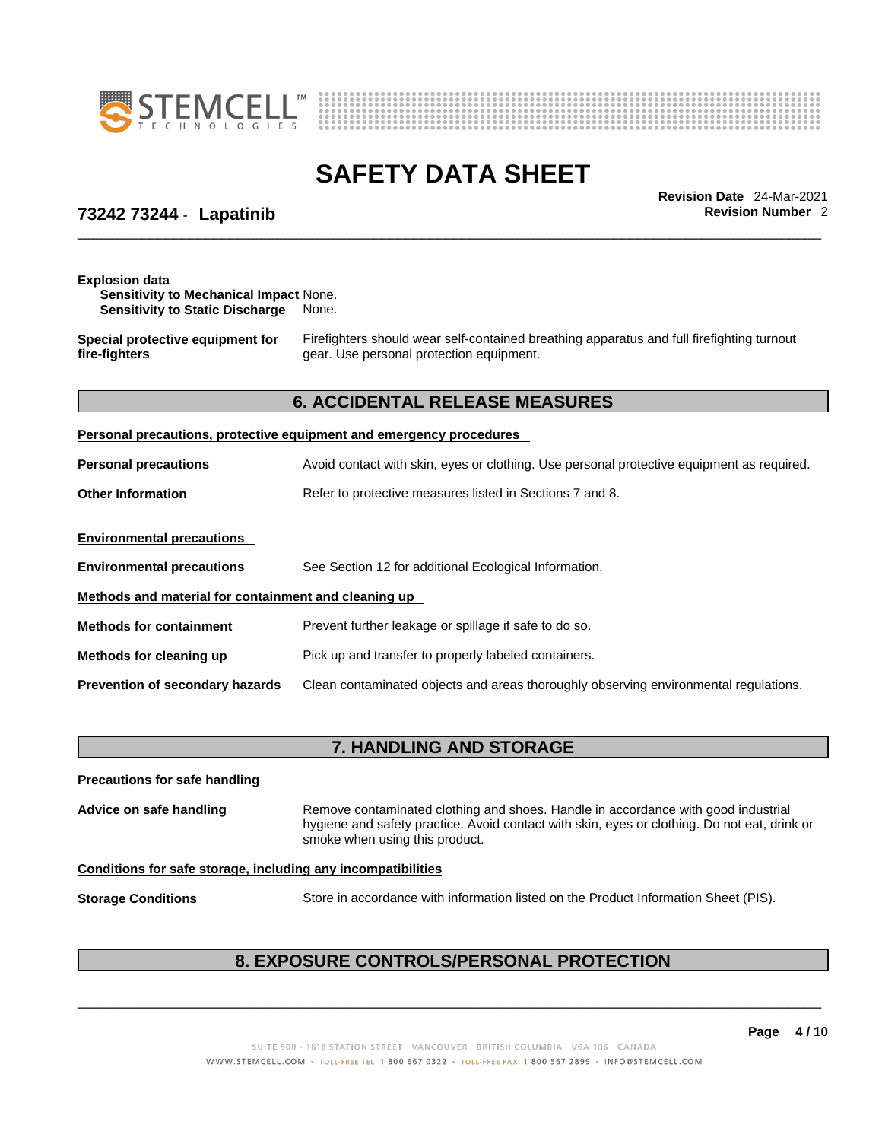



\_\_\_\_\_\_\_\_\_\_\_\_\_\_\_\_\_\_\_\_\_\_\_\_\_\_\_\_\_\_\_\_\_\_\_\_\_\_\_\_\_\_\_\_\_\_\_\_\_\_\_\_\_\_\_\_\_\_\_\_\_\_\_\_\_\_\_\_\_\_\_\_\_\_\_\_\_\_\_\_\_\_\_\_\_\_\_\_\_\_\_\_\_ **Revision Date** 24-Mar-2021

## **73242 73244** - **Lapatinib Revision Number** 2

| <b>Explosion data</b><br><b>Sensitivity to Mechanical Impact None.</b><br><b>Sensitivity to Static Discharge</b> | None.                                                                                                                                 |  |
|------------------------------------------------------------------------------------------------------------------|---------------------------------------------------------------------------------------------------------------------------------------|--|
| Special protective equipment for<br>fire-fighters                                                                | Firefighters should wear self-contained breathing apparatus and full firefighting turnout<br>gear. Use personal protection equipment. |  |
|                                                                                                                  | <b>6. ACCIDENTAL RELEASE MEASURES</b>                                                                                                 |  |
|                                                                                                                  | Personal precautions, protective equipment and emergency procedures                                                                   |  |
| <b>Personal precautions</b>                                                                                      | Avoid contact with skin, eyes or clothing. Use personal protective equipment as required.                                             |  |
| <b>Other Information</b>                                                                                         | Refer to protective measures listed in Sections 7 and 8.                                                                              |  |
| <b>Environmental precautions</b>                                                                                 |                                                                                                                                       |  |
| <b>Environmental precautions</b>                                                                                 | See Section 12 for additional Ecological Information.                                                                                 |  |
| Methods and material for containment and cleaning up                                                             |                                                                                                                                       |  |
| <b>Methods for containment</b>                                                                                   | Prevent further leakage or spillage if safe to do so.                                                                                 |  |
| Methods for cleaning up                                                                                          | Pick up and transfer to properly labeled containers.                                                                                  |  |
| Prevention of secondary hazards                                                                                  | Clean contaminated objects and areas thoroughly observing environmental regulations.                                                  |  |

# **7. HANDLING AND STORAGE**

| <b>Precautions for safe handling</b>                         |                                                                                                                                                                                                                     |  |
|--------------------------------------------------------------|---------------------------------------------------------------------------------------------------------------------------------------------------------------------------------------------------------------------|--|
| Advice on safe handling                                      | Remove contaminated clothing and shoes. Handle in accordance with good industrial<br>hygiene and safety practice. Avoid contact with skin, eyes or clothing. Do not eat, drink or<br>smoke when using this product. |  |
| Conditions for safe storage, including any incompatibilities |                                                                                                                                                                                                                     |  |
| <b>Storage Conditions</b>                                    | Store in accordance with information listed on the Product Information Sheet (PIS).                                                                                                                                 |  |

# **8. EXPOSURE CONTROLS/PERSONAL PROTECTION**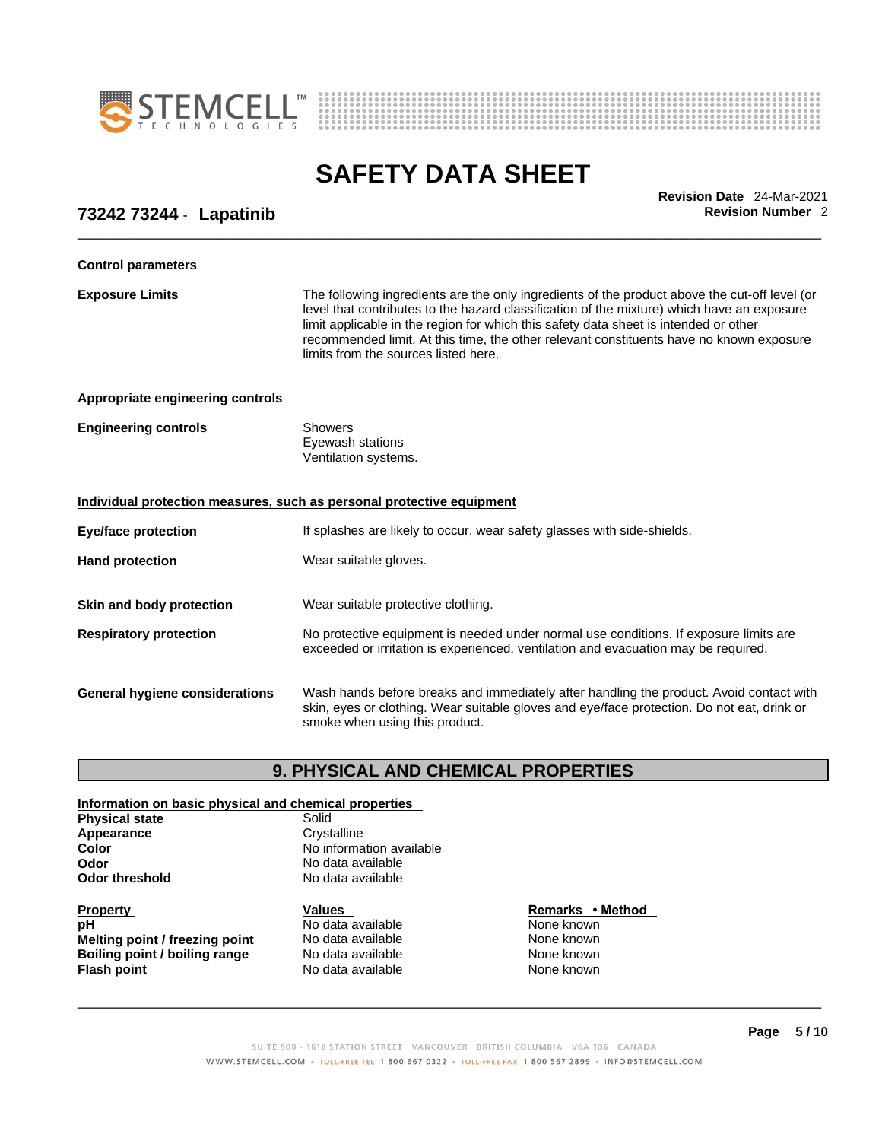



\_\_\_\_\_\_\_\_\_\_\_\_\_\_\_\_\_\_\_\_\_\_\_\_\_\_\_\_\_\_\_\_\_\_\_\_\_\_\_\_\_\_\_\_\_\_\_\_\_\_\_\_\_\_\_\_\_\_\_\_\_\_\_\_\_\_\_\_\_\_\_\_\_\_\_\_\_\_\_\_\_\_\_\_\_\_\_\_\_\_\_\_\_ **Revision Date** 24-Mar-2021

### **73242 73244** - **Lapatinib Revision Number** 2

| <b>Control parameters</b>                                             |                                                                                                                                                                                                                                                                                                                                                                                                                        |
|-----------------------------------------------------------------------|------------------------------------------------------------------------------------------------------------------------------------------------------------------------------------------------------------------------------------------------------------------------------------------------------------------------------------------------------------------------------------------------------------------------|
| <b>Exposure Limits</b>                                                | The following ingredients are the only ingredients of the product above the cut-off level (or<br>level that contributes to the hazard classification of the mixture) which have an exposure<br>limit applicable in the region for which this safety data sheet is intended or other<br>recommended limit. At this time, the other relevant constituents have no known exposure<br>limits from the sources listed here. |
| <b>Appropriate engineering controls</b>                               |                                                                                                                                                                                                                                                                                                                                                                                                                        |
| <b>Engineering controls</b>                                           | <b>Showers</b><br>Eyewash stations<br>Ventilation systems.                                                                                                                                                                                                                                                                                                                                                             |
| Individual protection measures, such as personal protective equipment |                                                                                                                                                                                                                                                                                                                                                                                                                        |
| <b>Eye/face protection</b>                                            | If splashes are likely to occur, wear safety glasses with side-shields.                                                                                                                                                                                                                                                                                                                                                |
| <b>Hand protection</b>                                                | Wear suitable gloves.                                                                                                                                                                                                                                                                                                                                                                                                  |
| Skin and body protection                                              | Wear suitable protective clothing.                                                                                                                                                                                                                                                                                                                                                                                     |
| <b>Respiratory protection</b>                                         | No protective equipment is needed under normal use conditions. If exposure limits are<br>exceeded or irritation is experienced, ventilation and evacuation may be required.                                                                                                                                                                                                                                            |
| <b>General hygiene considerations</b>                                 | Wash hands before breaks and immediately after handling the product. Avoid contact with<br>skin, eyes or clothing. Wear suitable gloves and eye/face protection. Do not eat, drink or<br>smoke when using this product.                                                                                                                                                                                                |
|                                                                       |                                                                                                                                                                                                                                                                                                                                                                                                                        |

### **9. PHYSICAL AND CHEMICAL PROPERTIES**

#### **Information on basic physical and chemical properties Physical state**<br> **Appearance** Crystalline Appearance<br>Color **No information available Odor No data available**<br> **Odor threshold No data available No data available Property CONSCRUTE IN THE VALUES REMARKS • Method pH No data available No data available None known Melting point / freezing point** No data available None known<br> **Boiling point / boiling range** No data available None known **Boiling point / boiling range Modata available None None known Flash point** No data available None known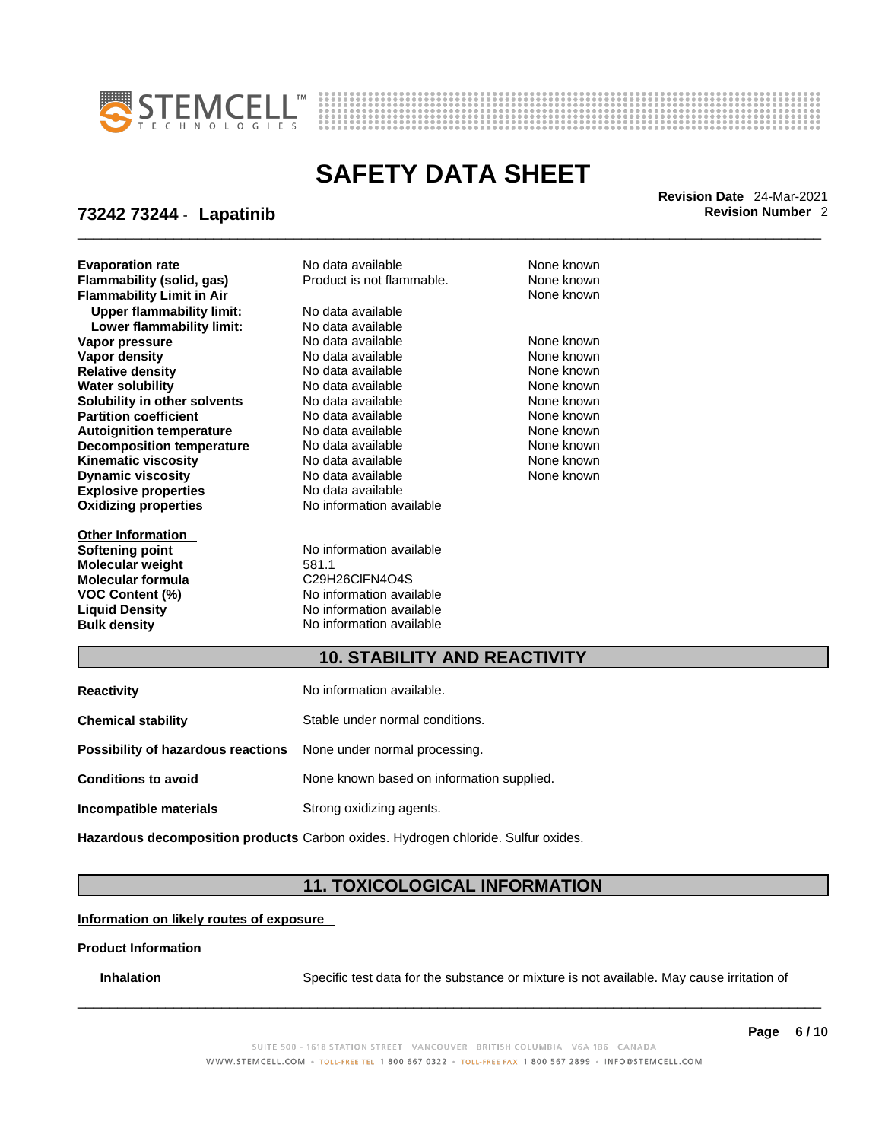



\_\_\_\_\_\_\_\_\_\_\_\_\_\_\_\_\_\_\_\_\_\_\_\_\_\_\_\_\_\_\_\_\_\_\_\_\_\_\_\_\_\_\_\_\_\_\_\_\_\_\_\_\_\_\_\_\_\_\_\_\_\_\_\_\_\_\_\_\_\_\_\_\_\_\_\_\_\_\_\_\_\_\_\_\_\_\_\_\_\_\_\_\_ **Revision Date** 24-Mar-2021

### **73242 73244** - **Lapatinib Revision Number** 2

**Explosive properties** No data available **Oxidizing properties** No information available **Evaporation rate Cone Access 10 and Revised Area Access** 10 and **None known**<br> **Flammability (solid. gas)** Product is not flammable. None known **Flammability (solid, gas)** Product is not flammable. None known<br> **Flammability I imit in Air Air Product is not flammable.** None known **Flammability Limit in Air Upper flammability limit:** No data available **Lower flammability limit:** No data available **Vapor pressure** The Society No data available and the None known None known<br> **Vapor density** No data available and None known **Relative density No data available None known**<br> **Water solubility No data available None known**<br>
None known **Water solubility <br>
<b>Water solubility** in other solvents<br>
No data available None None known<br>
None known **Solubility in other solvents Partition coefficient No data available None known Autoignition temperature No data available None known**<br> **Decomposition temperature** No data available **None known Decomposition temperature** No data available **None known**<br> **Kinematic viscosity No data available** None known **Kinematic viscosity No data available None known**<br> **None known**<br>
No data available **None known**<br>
None known **Dynamic viscosity** 

**Other Information Molecular weight** 581.1 **Molecular formula**<br>**VOC Content** (%)

**Vapor density No data available None known**<br>No data available None known

**Softening point** No information available **VOC Content (%)**<br>
Liquid Density<br>
No information available **Liquid Density**<br> **Bulk density**<br> **Bulk density**<br> **D** No information available **Bulk density** No information available

### **10. STABILITY AND REACTIVITY**

| No information available.                                               |
|-------------------------------------------------------------------------|
| Stable under normal conditions.                                         |
| <b>Possibility of hazardous reactions</b> None under normal processing. |
| None known based on information supplied.                               |
| Strong oxidizing agents.                                                |
|                                                                         |

**Hazardous decomposition products** Carbon oxides. Hydrogen chloride. Sulfur oxides.

### **11. TOXICOLOGICAL INFORMATION**

**Information on likely routes of exposure**

#### **Product Information**

**Inhalation** Specific test data for the substance or mixture is not available. May cause irritation of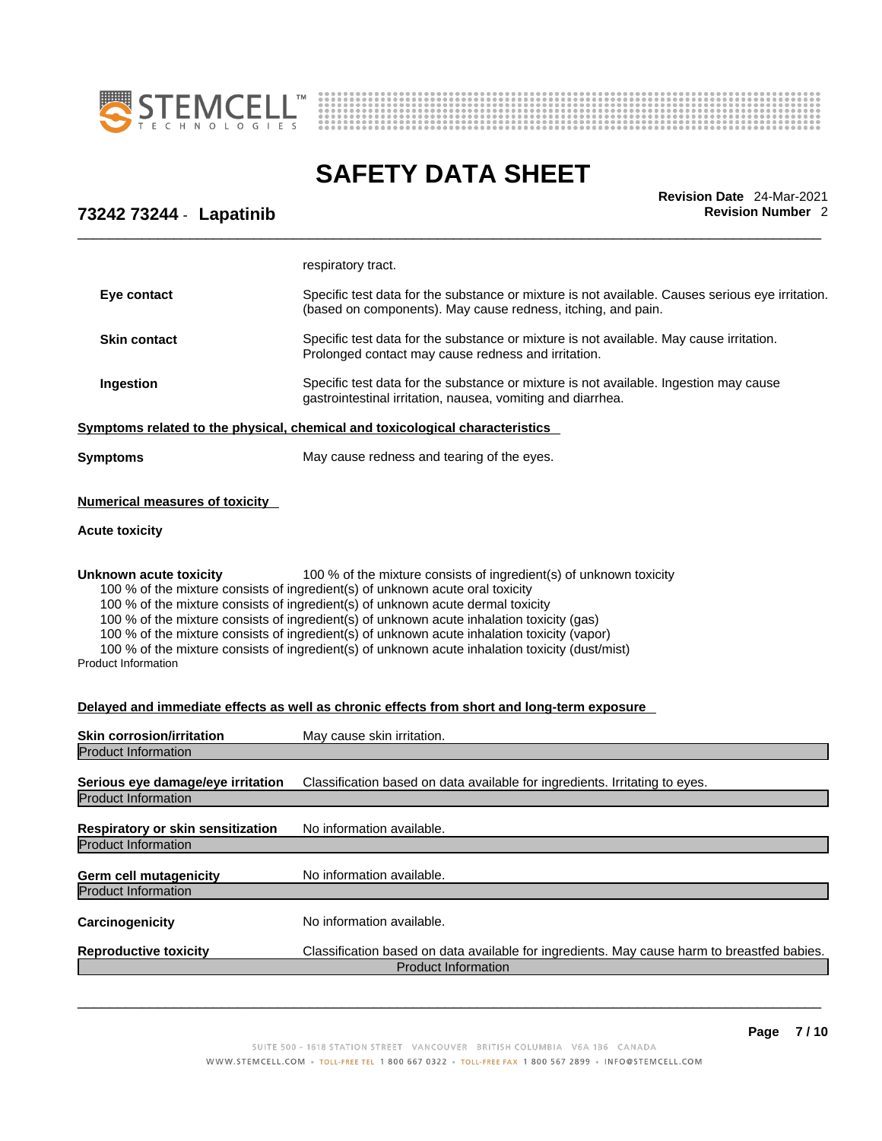



\_\_\_\_\_\_\_\_\_\_\_\_\_\_\_\_\_\_\_\_\_\_\_\_\_\_\_\_\_\_\_\_\_\_\_\_\_\_\_\_\_\_\_\_\_\_\_\_\_\_\_\_\_\_\_\_\_\_\_\_\_\_\_\_\_\_\_\_\_\_\_\_\_\_\_\_\_\_\_\_\_\_\_\_\_\_\_\_\_\_\_\_\_ **Revision Date** 24-Mar-2021

## **73242 73244** - **Lapatinib Revision Number** 2

|                                                                                                                                                                                                                                                                                                                                                                                                                                                                                                                                                                                                      | respiratory tract.                                                                                                                                               |  |
|------------------------------------------------------------------------------------------------------------------------------------------------------------------------------------------------------------------------------------------------------------------------------------------------------------------------------------------------------------------------------------------------------------------------------------------------------------------------------------------------------------------------------------------------------------------------------------------------------|------------------------------------------------------------------------------------------------------------------------------------------------------------------|--|
| Eye contact                                                                                                                                                                                                                                                                                                                                                                                                                                                                                                                                                                                          | Specific test data for the substance or mixture is not available. Causes serious eye irritation.<br>(based on components). May cause redness, itching, and pain. |  |
| <b>Skin contact</b>                                                                                                                                                                                                                                                                                                                                                                                                                                                                                                                                                                                  | Specific test data for the substance or mixture is not available. May cause irritation.<br>Prolonged contact may cause redness and irritation.                   |  |
| Ingestion                                                                                                                                                                                                                                                                                                                                                                                                                                                                                                                                                                                            | Specific test data for the substance or mixture is not available. Ingestion may cause<br>gastrointestinal irritation, nausea, vomiting and diarrhea.             |  |
| <u>Symptoms related to the physical, chemical and toxicological characteristics</u>                                                                                                                                                                                                                                                                                                                                                                                                                                                                                                                  |                                                                                                                                                                  |  |
| <b>Symptoms</b>                                                                                                                                                                                                                                                                                                                                                                                                                                                                                                                                                                                      | May cause redness and tearing of the eyes.                                                                                                                       |  |
| <b>Numerical measures of toxicity</b><br><b>Acute toxicity</b>                                                                                                                                                                                                                                                                                                                                                                                                                                                                                                                                       |                                                                                                                                                                  |  |
| 100 % of the mixture consists of ingredient(s) of unknown toxicity<br><b>Unknown acute toxicity</b><br>100 % of the mixture consists of ingredient(s) of unknown acute oral toxicity<br>100 % of the mixture consists of ingredient(s) of unknown acute dermal toxicity<br>100 % of the mixture consists of ingredient(s) of unknown acute inhalation toxicity (gas)<br>100 % of the mixture consists of ingredient(s) of unknown acute inhalation toxicity (vapor)<br>100 % of the mixture consists of ingredient(s) of unknown acute inhalation toxicity (dust/mist)<br><b>Product Information</b> |                                                                                                                                                                  |  |
|                                                                                                                                                                                                                                                                                                                                                                                                                                                                                                                                                                                                      | Delayed and immediate effects as well as chronic effects from short and long-term exposure                                                                       |  |
| <b>Skin corrosion/irritation</b>                                                                                                                                                                                                                                                                                                                                                                                                                                                                                                                                                                     | May cause skin irritation.                                                                                                                                       |  |
| <b>Product Information</b><br>Serious eye damage/eye irritation<br><b>Product Information</b>                                                                                                                                                                                                                                                                                                                                                                                                                                                                                                        | Classification based on data available for ingredients. Irritating to eyes.                                                                                      |  |
| Respiratory or skin sensitization<br><b>Product Information</b>                                                                                                                                                                                                                                                                                                                                                                                                                                                                                                                                      | No information available.                                                                                                                                        |  |
| Germ cell mutagenicity                                                                                                                                                                                                                                                                                                                                                                                                                                                                                                                                                                               | No information available.                                                                                                                                        |  |
| <b>Product Information</b>                                                                                                                                                                                                                                                                                                                                                                                                                                                                                                                                                                           |                                                                                                                                                                  |  |
| Carcinogenicity                                                                                                                                                                                                                                                                                                                                                                                                                                                                                                                                                                                      | No information available.                                                                                                                                        |  |
| <b>Reproductive toxicity</b>                                                                                                                                                                                                                                                                                                                                                                                                                                                                                                                                                                         | Classification based on data available for ingredients. May cause harm to breastfed babies.<br><b>Product Information</b>                                        |  |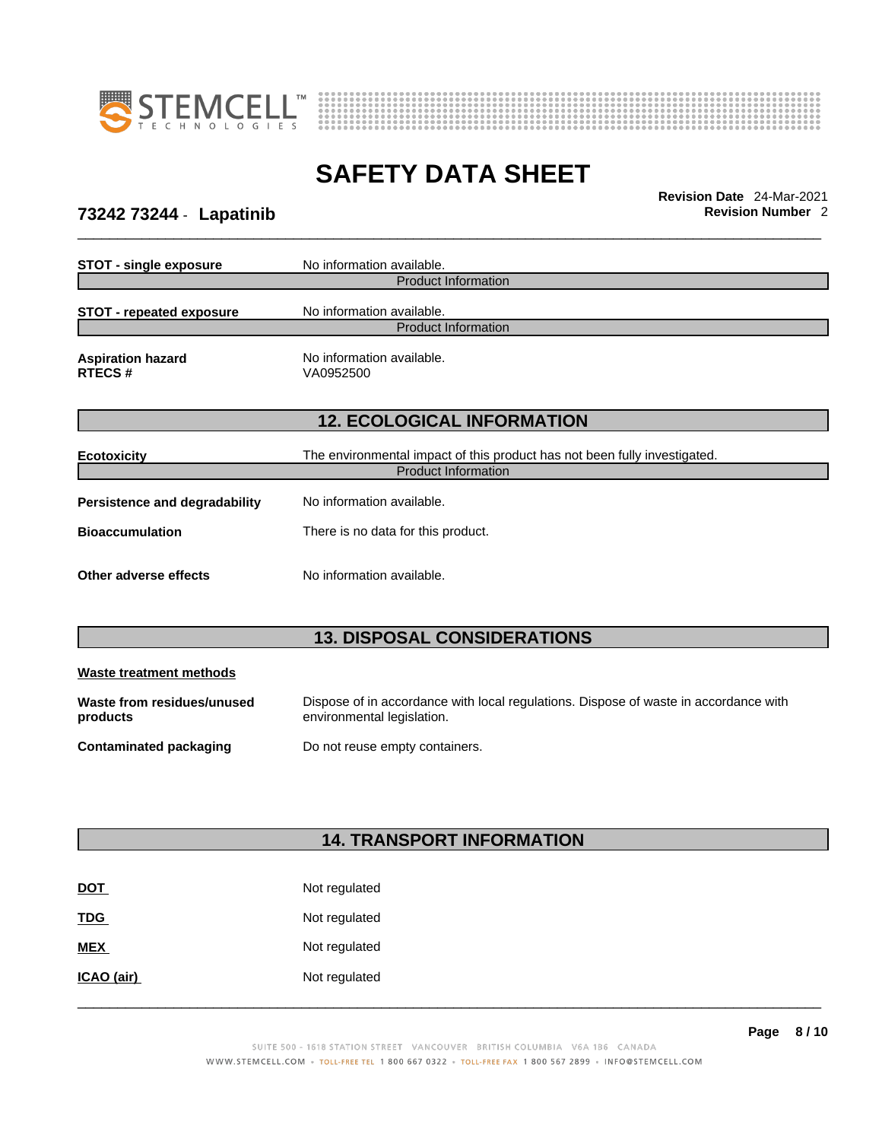



\_\_\_\_\_\_\_\_\_\_\_\_\_\_\_\_\_\_\_\_\_\_\_\_\_\_\_\_\_\_\_\_\_\_\_\_\_\_\_\_\_\_\_\_\_\_\_\_\_\_\_\_\_\_\_\_\_\_\_\_\_\_\_\_\_\_\_\_\_\_\_\_\_\_\_\_\_\_\_\_\_\_\_\_\_\_\_\_\_\_\_\_\_ **Revision Date** 24-Mar-2021

# **73242 73244** - **Lapatinib Revision Number** 2

| <b>STOT - single exposure</b>             | No information available.                                                 |  |  |
|-------------------------------------------|---------------------------------------------------------------------------|--|--|
| <b>Product Information</b>                |                                                                           |  |  |
| <b>STOT - repeated exposure</b>           | No information available.                                                 |  |  |
|                                           | <b>Product Information</b>                                                |  |  |
| <b>Aspiration hazard</b><br><b>RTECS#</b> | No information available.<br>VA0952500                                    |  |  |
| <b>12. ECOLOGICAL INFORMATION</b>         |                                                                           |  |  |
| <b>Ecotoxicity</b>                        | The environmental impact of this product has not been fully investigated. |  |  |
| <b>Product Information</b>                |                                                                           |  |  |
| Persistence and degradability             | No information available.                                                 |  |  |
| <b>Bioaccumulation</b>                    | There is no data for this product.                                        |  |  |
| Other adverse effects                     | No information available.                                                 |  |  |

# **13. DISPOSAL CONSIDERATIONS**

| Waste treatment methods                |                                                                                                                    |
|----------------------------------------|--------------------------------------------------------------------------------------------------------------------|
| Waste from residues/unused<br>products | Dispose of in accordance with local regulations. Dispose of waste in accordance with<br>environmental legislation. |
| Contaminated packaging                 | Do not reuse empty containers.                                                                                     |

# **14. TRANSPORT INFORMATION**

| <b>DOT</b> | Not regulated |
|------------|---------------|
| <b>TDG</b> | Not regulated |
| <b>MEX</b> | Not regulated |
| ICAO (air) | Not regulated |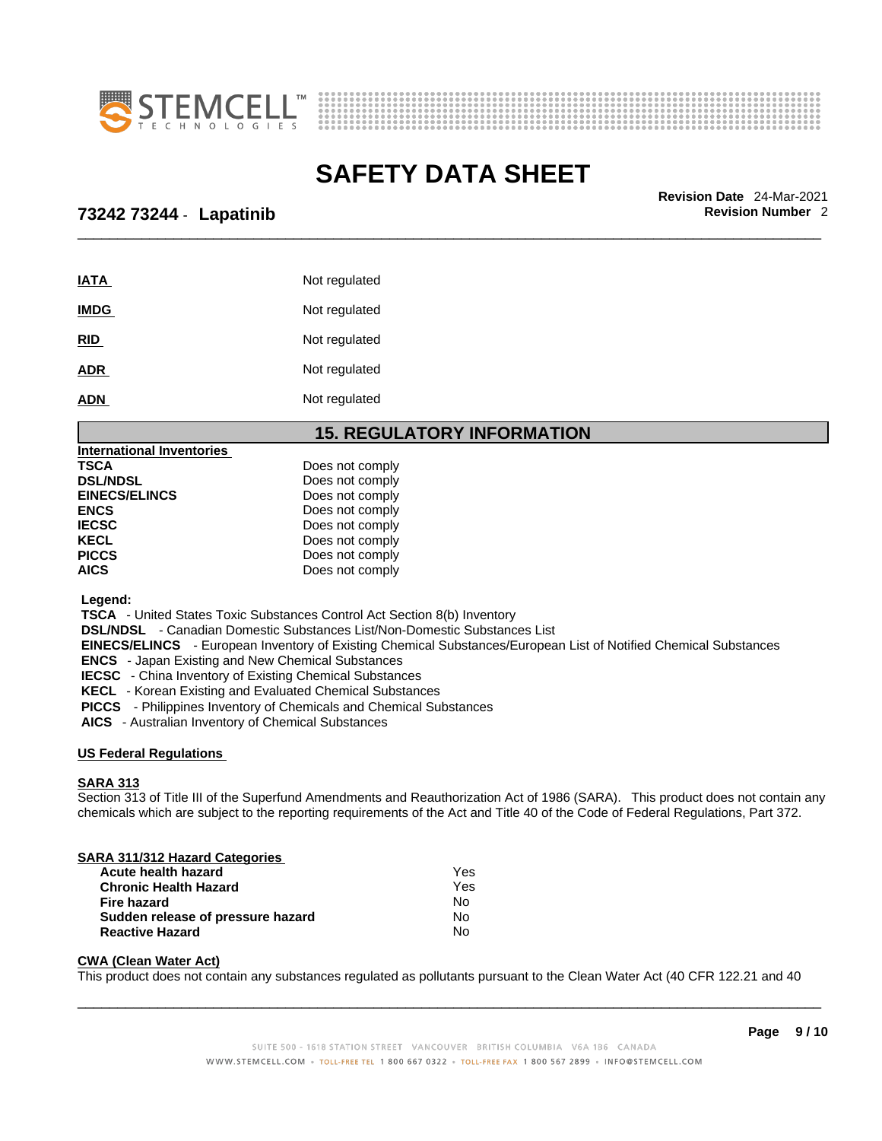



\_\_\_\_\_\_\_\_\_\_\_\_\_\_\_\_\_\_\_\_\_\_\_\_\_\_\_\_\_\_\_\_\_\_\_\_\_\_\_\_\_\_\_\_\_\_\_\_\_\_\_\_\_\_\_\_\_\_\_\_\_\_\_\_\_\_\_\_\_\_\_\_\_\_\_\_\_\_\_\_\_\_\_\_\_\_\_\_\_\_\_\_\_ **Revision Date** 24-Mar-2021

### **73242 73244** - **Lapatinib Revision Number** 2

| <b>IATA</b> | Not regulated |
|-------------|---------------|
| <b>IMDG</b> | Not regulated |
| <b>RID</b>  | Not regulated |
| <b>ADR</b>  | Not regulated |
| <b>ADN</b>  | Not regulated |

#### **15. REGULATORY INFORMATION**

| Does not comply |
|-----------------|
| Does not comply |
| Does not comply |
| Does not comply |
| Does not comply |
| Does not comply |
| Does not comply |
| Does not comply |
|                 |

 **Legend:** 

 **TSCA** - United States Toxic Substances Control Act Section 8(b) Inventory

 **DSL/NDSL** - Canadian Domestic Substances List/Non-Domestic Substances List

 **EINECS/ELINCS** - European Inventory of Existing Chemical Substances/European List of Notified Chemical Substances

 **ENCS** - Japan Existing and New Chemical Substances

 **IECSC** - China Inventory of Existing Chemical Substances

 **KECL** - Korean Existing and Evaluated Chemical Substances

 **PICCS** - Philippines Inventory of Chemicals and Chemical Substances

 **AICS** - Australian Inventory of Chemical Substances

#### **US Federal Regulations**

#### **SARA 313**

Section 313 of Title III of the Superfund Amendments and Reauthorization Act of 1986 (SARA). This product does not contain any chemicals which are subject to the reporting requirements of the Act and Title 40 of the Code of Federal Regulations, Part 372.

#### **SARA 311/312 Hazard Categories**

| Acute health hazard               | Yes |
|-----------------------------------|-----|
| <b>Chronic Health Hazard</b>      | Yes |
| Fire hazard                       | No  |
| Sudden release of pressure hazard | N٥  |
| <b>Reactive Hazard</b>            | No  |

#### **CWA (Clean WaterAct)**

This product does not contain any substances regulated as pollutants pursuant to the Clean Water Act (40 CFR 122.21 and 40